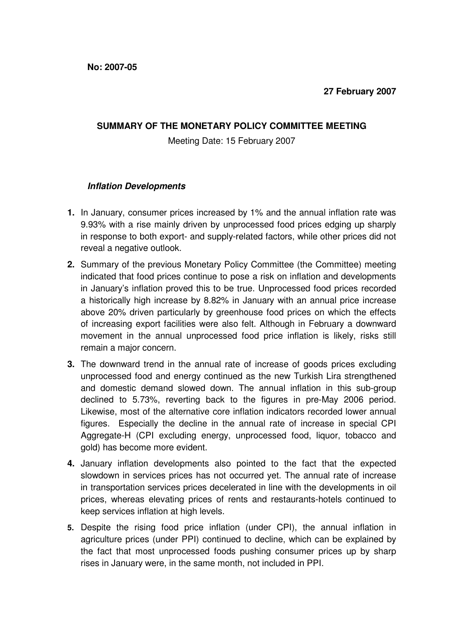## **SUMMARY OF THE MONETARY POLICY COMMITTEE MEETING**

Meeting Date: 15 February 2007

## **Inflation Developments**

- **1.** In January, consumer prices increased by 1% and the annual inflation rate was 9.93% with a rise mainly driven by unprocessed food prices edging up sharply in response to both export- and supply-related factors, while other prices did not reveal a negative outlook.
- **2.** Summary of the previous Monetary Policy Committee (the Committee) meeting indicated that food prices continue to pose a risk on inflation and developments in January's inflation proved this to be true. Unprocessed food prices recorded a historically high increase by 8.82% in January with an annual price increase above 20% driven particularly by greenhouse food prices on which the effects of increasing export facilities were also felt. Although in February a downward movement in the annual unprocessed food price inflation is likely, risks still remain a major concern.
- **3.** The downward trend in the annual rate of increase of goods prices excluding unprocessed food and energy continued as the new Turkish Lira strengthened and domestic demand slowed down. The annual inflation in this sub-group declined to 5.73%, reverting back to the figures in pre-May 2006 period. Likewise, most of the alternative core inflation indicators recorded lower annual figures. Especially the decline in the annual rate of increase in special CPI Aggregate-H (CPI excluding energy, unprocessed food, liquor, tobacco and gold) has become more evident.
- **4.** January inflation developments also pointed to the fact that the expected slowdown in services prices has not occurred yet. The annual rate of increase in transportation services prices decelerated in line with the developments in oil prices, whereas elevating prices of rents and restaurants-hotels continued to keep services inflation at high levels.
- **5.** Despite the rising food price inflation (under CPI), the annual inflation in agriculture prices (under PPI) continued to decline, which can be explained by the fact that most unprocessed foods pushing consumer prices up by sharp rises in January were, in the same month, not included in PPI.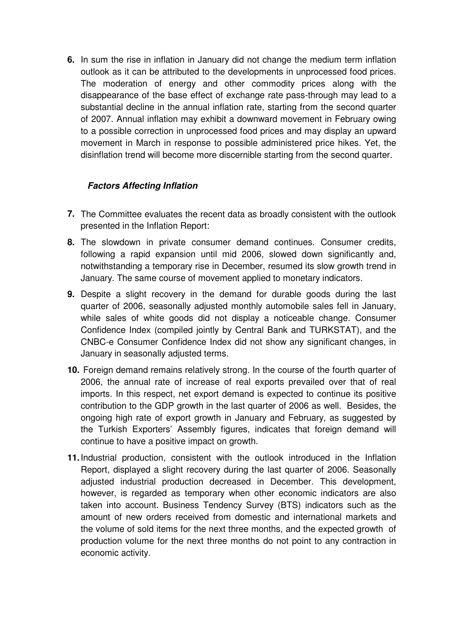**6.** In sum the rise in inflation in January did not change the medium term inflation outlook as it can be attributed to the developments in unprocessed food prices. The moderation of energy and other commodity prices along with the disappearance of the base effect of exchange rate pass-through may lead to a substantial decline in the annual inflation rate, starting from the second quarter of 2007. Annual inflation may exhibit a downward movement in February owing to a possible correction in unprocessed food prices and may display an upward movement in March in response to possible administered price hikes. Yet, the disinflation trend will become more discernible starting from the second quarter.

## **Factors Affecting Inflation**

- **7.** The Committee evaluates the recent data as broadly consistent with the outlook presented in the Inflation Report:
- **8.** The slowdown in private consumer demand continues. Consumer credits, following a rapid expansion until mid 2006, slowed down significantly and, notwithstanding a temporary rise in December, resumed its slow growth trend in January. The same course of movement applied to monetary indicators.
- **9.** Despite a slight recovery in the demand for durable goods during the last quarter of 2006, seasonally adjusted monthly automobile sales fell in January, while sales of white goods did not display a noticeable change. Consumer Confidence Index (compiled jointly by Central Bank and TURKSTAT), and the CNBC-e Consumer Confidence Index did not show any significant changes, in January in seasonally adjusted terms.
- **10.** Foreign demand remains relatively strong. In the course of the fourth quarter of 2006, the annual rate of increase of real exports prevailed over that of real imports. In this respect, net export demand is expected to continue its positive contribution to the GDP growth in the last quarter of 2006 as well. Besides, the ongoing high rate of export growth in January and February, as suggested by the Turkish Exporters' Assembly figures, indicates that foreign demand will continue to have a positive impact on growth.
- **11.** Industrial production, consistent with the outlook introduced in the Inflation Report, displayed a slight recovery during the last quarter of 2006. Seasonally adjusted industrial production decreased in December. This development, however, is regarded as temporary when other economic indicators are also taken into account. Business Tendency Survey (BTS) indicators such as the amount of new orders received from domestic and international markets and the volume of sold items for the next three months, and the expected growth of production volume for the next three months do not point to any contraction in economic activity.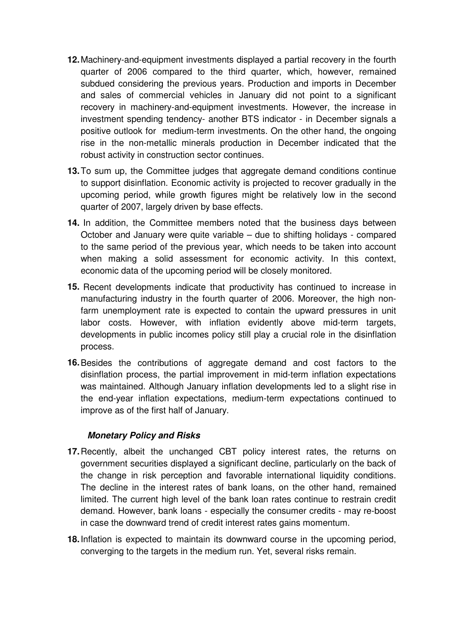- **12.** Machinery-and-equipment investments displayed a partial recovery in the fourth quarter of 2006 compared to the third quarter, which, however, remained subdued considering the previous years. Production and imports in December and sales of commercial vehicles in January did not point to a significant recovery in machinery-and-equipment investments. However, the increase in investment spending tendency- another BTS indicator - in December signals a positive outlook for medium-term investments. On the other hand, the ongoing rise in the non-metallic minerals production in December indicated that the robust activity in construction sector continues.
- **13.** To sum up, the Committee judges that aggregate demand conditions continue to support disinflation. Economic activity is projected to recover gradually in the upcoming period, while growth figures might be relatively low in the second quarter of 2007, largely driven by base effects.
- **14.** In addition, the Committee members noted that the business days between October and January were quite variable – due to shifting holidays - compared to the same period of the previous year, which needs to be taken into account when making a solid assessment for economic activity. In this context, economic data of the upcoming period will be closely monitored.
- **15.** Recent developments indicate that productivity has continued to increase in manufacturing industry in the fourth quarter of 2006. Moreover, the high nonfarm unemployment rate is expected to contain the upward pressures in unit labor costs. However, with inflation evidently above mid-term targets, developments in public incomes policy still play a crucial role in the disinflation process.
- **16.** Besides the contributions of aggregate demand and cost factors to the disinflation process, the partial improvement in mid-term inflation expectations was maintained. Although January inflation developments led to a slight rise in the end-year inflation expectations, medium-term expectations continued to improve as of the first half of January.

## **Monetary Policy and Risks**

- **17.** Recently, albeit the unchanged CBT policy interest rates, the returns on government securities displayed a significant decline, particularly on the back of the change in risk perception and favorable international liquidity conditions. The decline in the interest rates of bank loans, on the other hand, remained limited. The current high level of the bank loan rates continue to restrain credit demand. However, bank loans - especially the consumer credits - may re-boost in case the downward trend of credit interest rates gains momentum.
- **18.** Inflation is expected to maintain its downward course in the upcoming period, converging to the targets in the medium run. Yet, several risks remain.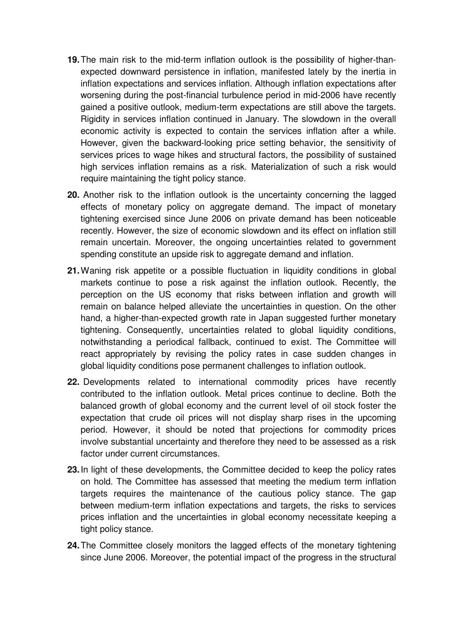- **19.** The main risk to the mid-term inflation outlook is the possibility of higher-thanexpected downward persistence in inflation, manifested lately by the inertia in inflation expectations and services inflation. Although inflation expectations after worsening during the post-financial turbulence period in mid-2006 have recently gained a positive outlook, medium-term expectations are still above the targets. Rigidity in services inflation continued in January. The slowdown in the overall economic activity is expected to contain the services inflation after a while. However, given the backward-looking price setting behavior, the sensitivity of services prices to wage hikes and structural factors, the possibility of sustained high services inflation remains as a risk. Materialization of such a risk would require maintaining the tight policy stance.
- **20.** Another risk to the inflation outlook is the uncertainty concerning the lagged effects of monetary policy on aggregate demand. The impact of monetary tightening exercised since June 2006 on private demand has been noticeable recently. However, the size of economic slowdown and its effect on inflation still remain uncertain. Moreover, the ongoing uncertainties related to government spending constitute an upside risk to aggregate demand and inflation.
- **21.** Waning risk appetite or a possible fluctuation in liquidity conditions in global markets continue to pose a risk against the inflation outlook. Recently, the perception on the US economy that risks between inflation and growth will remain on balance helped alleviate the uncertainties in question. On the other hand, a higher-than-expected growth rate in Japan suggested further monetary tightening. Consequently, uncertainties related to global liquidity conditions, notwithstanding a periodical fallback, continued to exist. The Committee will react appropriately by revising the policy rates in case sudden changes in global liquidity conditions pose permanent challenges to inflation outlook.
- **22.** Developments related to international commodity prices have recently contributed to the inflation outlook. Metal prices continue to decline. Both the balanced growth of global economy and the current level of oil stock foster the expectation that crude oil prices will not display sharp rises in the upcoming period. However, it should be noted that projections for commodity prices involve substantial uncertainty and therefore they need to be assessed as a risk factor under current circumstances.
- **23.** In light of these developments, the Committee decided to keep the policy rates on hold. The Committee has assessed that meeting the medium term inflation targets requires the maintenance of the cautious policy stance. The gap between medium-term inflation expectations and targets, the risks to services prices inflation and the uncertainties in global economy necessitate keeping a tight policy stance.
- **24.** The Committee closely monitors the lagged effects of the monetary tightening since June 2006. Moreover, the potential impact of the progress in the structural